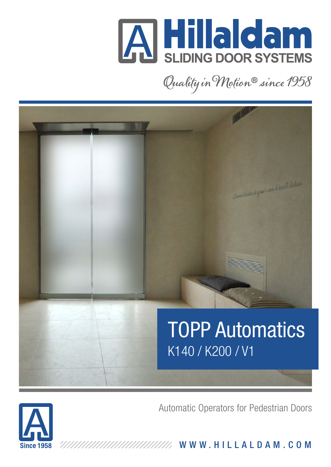

Quality in Motion® since 1958



Automatic Operators for Pedestrian Doors



WWW.HILLALDAM.COM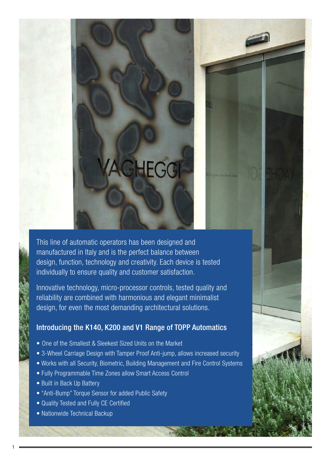#### This line of automatic operators has been designed and manufactured in Italy and is the perfect balance between design, function, technology and creativity. Each device is tested individually to ensure quality and customer satisfaction.

**AGHEGG** 

Innovative technology, micro-processor controls, tested quality and reliability are combined with harmonious and elegant minimalist design, for even the most demanding architectural solutions.

#### Introducing the K140, K200 and V1 Range of TOPP Automatics

- One of the Smallest & Sleekest Sized Units on the Market
- 3-Wheel Carriage Design with Tamper Proof Anti-jump, allows increased security
- Works with all Security, Biometric, Building Management and Fire Control Systems
- Fully Programmable Time Zones allow Smart Access Control
- Built in Back Up Battery
- "Anti-Bump" Torque Sensor for added Public Safety
- Quality Tested and Fully CE Certified
- Nationwide Technical Backup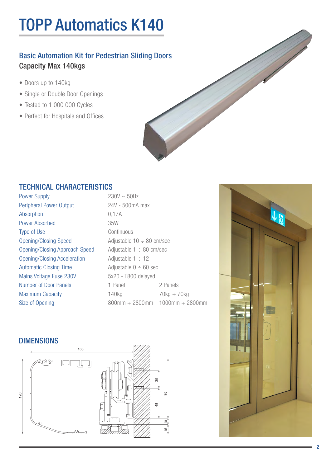# TOPP Automatics K140

### Basic Automation Kit for Pedestrian Sliding Doors Capacity Max 140kgs

- Doors up to 140kg
- Single or Double Door Openings
- Tested to 1 000 000 Cycles
- Perfect for Hospitals and Offices



#### TECHNICAL CHARACTERISTICS

Power Supply  $230V \sim 50Hz$ Peripheral Power Output 24V - 500mA max Absorption 0,17A Power Absorbed 35W Type of Use Continuous **Opening/Closing Speed**  $\qquad$  **Adjustable 10**  $\div$  **80 cm/sec** Opening/Closing Approach Speed Adjustable  $1 \div 80$  cm/sec Opening/Closing Acceleration  $\qquad \qquad$  Adjustable 1  $\div$  12 Automatic Closing Time  $\qquad \qquad$  Adjustable  $0 \div 60$  sec Mains Voltage Fuse 230V 5x20 - T800 delayed Number of Door Panels 1 Panel 2 Panels

Maximum Capacity 140kg 140kg 70kg + 70kg Size of Opening 800mm + 2800mm + 2800mm + 2800mm

#### **DIMENSIONS**



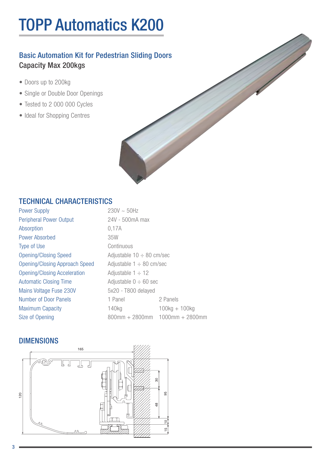# TOPP Automatics K200

### Basic Automation Kit for Pedestrian Sliding Doors Capacity Max 200kgs

- Doors up to 200kg
- Single or Double Door Openings
- Tested to 2 000 000 Cycles
- Ideal for Shopping Centres

#### TECHNICAL CHARACTERISTICS

| <b>Power Supply</b>                   | $230V \sim 50Hz$               |                                      |
|---------------------------------------|--------------------------------|--------------------------------------|
| <b>Peripheral Power Output</b>        | 24V - 500mA max                |                                      |
| <b>Absorption</b>                     | 0,17A                          |                                      |
| <b>Power Absorbed</b>                 | 35W                            |                                      |
| <b>Type of Use</b>                    | Continuous                     |                                      |
| <b>Opening/Closing Speed</b>          | Adjustable $10 \div 80$ cm/sec |                                      |
| <b>Opening/Closing Approach Speed</b> | Adjustable $1 \div 80$ cm/sec  |                                      |
| <b>Opening/Closing Acceleration</b>   | Adjustable $1 \div 12$         |                                      |
| <b>Automatic Closing Time</b>         | Adjustable $0 \div 60$ sec     |                                      |
| <b>Mains Voltage Fuse 230V</b>        | 5x20 - T800 delayed            |                                      |
| <b>Number of Door Panels</b>          | 1 Panel                        | 2 Panels                             |
| <b>Maximum Capacity</b>               | 140 <sub>kg</sub>              | $100kg + 100kg$                      |
| Size of Opening                       |                                | $800$ mm + 2800mm $1000$ mm + 2800mm |

#### DIMENSIONS

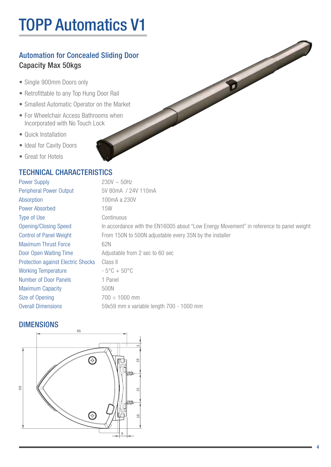# TOPP Automatics V1

### Automation for Concealed Sliding Door Capacity Max 50kgs

- Single 900mm Doors only
- Retrofittable to any Top Hung Door Rail
- Smallest Automatic Operator on the Market
- For Wheelchair Access Bathrooms when Incorporated with No Touch Lock
- Quick Installation
- Ideal for Cavity Doors
- Great for Hotels

#### TECHNICAL CHARACTERISTICS

| <b>Power Supply</b>                       | $230V \sim 50Hz$                                                                        |
|-------------------------------------------|-----------------------------------------------------------------------------------------|
| <b>Peripheral Power Output</b>            | 5V 80mA / 24V 110mA                                                                     |
| Absorption                                | 100mA a 230V                                                                            |
| <b>Power Absorbed</b>                     | 15W                                                                                     |
| Type of Use                               | Continuous                                                                              |
| <b>Opening/Closing Speed</b>              | In accordance with the EN16005 about "Low Energy Movement" in reference to panel weight |
| <b>Control of Panel Weight</b>            | From 150N to 500N adjustable every 35N by the installer                                 |
| <b>Maximum Thrust Force</b>               | 62N                                                                                     |
| Door Open Waiting Time                    | Adjustable from 2 sec to 60 sec                                                         |
| <b>Protection against Electric Shocks</b> | Class II                                                                                |
| <b>Working Temperature</b>                | $-5^{\circ}$ C + 50 $^{\circ}$ C                                                        |
| <b>Number of Door Panels</b>              | 1 Panel                                                                                 |
| <b>Maximum Capacity</b>                   | 500N                                                                                    |
| Size of Opening                           | $700 \div 1000$ mm                                                                      |
| <b>Overall Dimensions</b>                 | 59x59 mm x variable length 700 - 1000 mm                                                |

#### **DIMENSIONS**